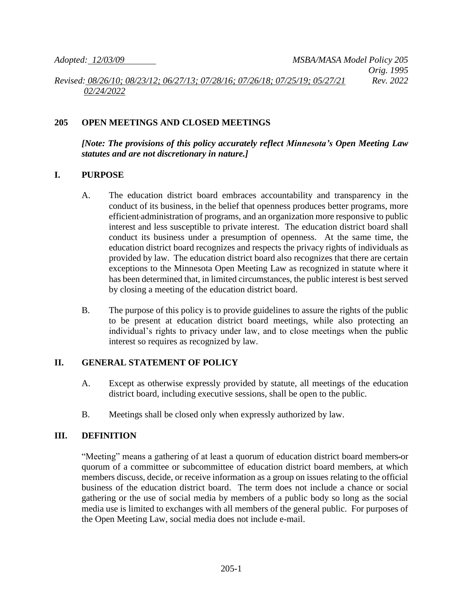### **205 OPEN MEETINGS AND CLOSED MEETINGS**

*[Note: The provisions of this policy accurately reflect Minnesota's Open Meeting Law statutes and are not discretionary in nature.]*

### **I. PURPOSE**

- A. The education district board embraces accountability and transparency in the conduct of its business, in the belief that openness produces better programs, more efficient administration of programs, and an organization more responsive to public interest and less susceptible to private interest. The education district board shall conduct its business under a presumption of openness. At the same time, the education district board recognizes and respects the privacy rights of individuals as provided by law. The education district board also recognizes that there are certain exceptions to the Minnesota Open Meeting Law as recognized in statute where it has been determined that, in limited circumstances, the public interest is best served by closing a meeting of the education district board.
- B. The purpose of this policy is to provide guidelines to assure the rights of the public to be present at education district board meetings, while also protecting an individual's rights to privacy under law, and to close meetings when the public interest so requires as recognized by law.

#### **II. GENERAL STATEMENT OF POLICY**

- A. Except as otherwise expressly provided by statute, all meetings of the education district board, including executive sessions, shall be open to the public.
- B. Meetings shall be closed only when expressly authorized by law.

## **III. DEFINITION**

"Meeting" means a gathering of at least a quorum of education district board members or quorum of a committee or subcommittee of education district board members, at which members discuss, decide, or receive information as a group on issues relating to the official business of the education district board. The term does not include a chance or social gathering or the use of social media by members of a public body so long as the social media use is limited to exchanges with all members of the general public. For purposes of the Open Meeting Law, social media does not include e-mail.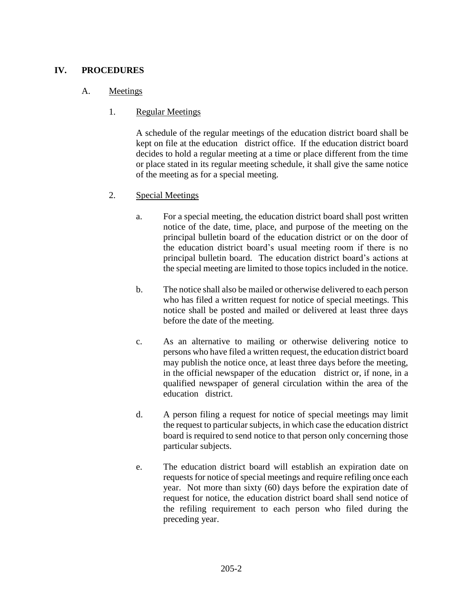## **IV. PROCEDURES**

### A. Meetings

### 1. Regular Meetings

A schedule of the regular meetings of the education district board shall be kept on file at the education district office. If the education district board decides to hold a regular meeting at a time or place different from the time or place stated in its regular meeting schedule, it shall give the same notice of the meeting as for a special meeting.

### 2. Special Meetings

- a. For a special meeting, the education district board shall post written notice of the date, time, place, and purpose of the meeting on the principal bulletin board of the education district or on the door of the education district board's usual meeting room if there is no principal bulletin board. The education district board's actions at the special meeting are limited to those topics included in the notice.
- b. The notice shall also be mailed or otherwise delivered to each person who has filed a written request for notice of special meetings. This notice shall be posted and mailed or delivered at least three days before the date of the meeting.
- c. As an alternative to mailing or otherwise delivering notice to persons who have filed a written request, the education district board may publish the notice once, at least three days before the meeting, in the official newspaper of the education district or, if none, in a qualified newspaper of general circulation within the area of the education district.
- d. A person filing a request for notice of special meetings may limit the request to particular subjects, in which case the education district board is required to send notice to that person only concerning those particular subjects.
- e. The education district board will establish an expiration date on requests for notice of special meetings and require refiling once each year. Not more than sixty (60) days before the expiration date of request for notice, the education district board shall send notice of the refiling requirement to each person who filed during the preceding year.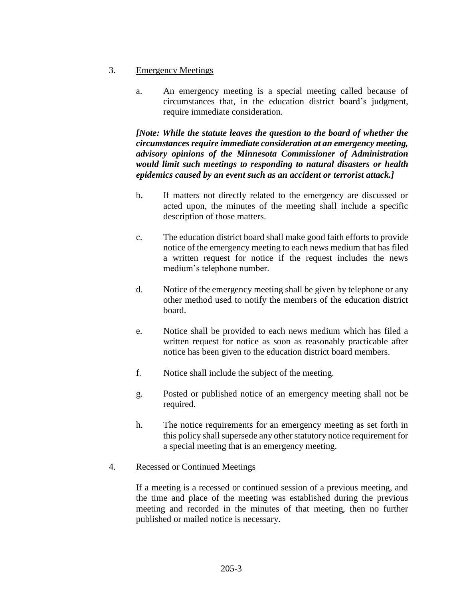- 3. Emergency Meetings
	- a. An emergency meeting is a special meeting called because of circumstances that, in the education district board's judgment, require immediate consideration.

*[Note: While the statute leaves the question to the board of whether the circumstances require immediate consideration at an emergency meeting, advisory opinions of the Minnesota Commissioner of Administration would limit such meetings to responding to natural disasters or health epidemics caused by an event such as an accident or terrorist attack.]*

- b. If matters not directly related to the emergency are discussed or acted upon, the minutes of the meeting shall include a specific description of those matters.
- c. The education district board shall make good faith efforts to provide notice of the emergency meeting to each news medium that has filed a written request for notice if the request includes the news medium's telephone number.
- d. Notice of the emergency meeting shall be given by telephone or any other method used to notify the members of the education district board.
- e. Notice shall be provided to each news medium which has filed a written request for notice as soon as reasonably practicable after notice has been given to the education district board members.
- f. Notice shall include the subject of the meeting.
- g. Posted or published notice of an emergency meeting shall not be required.
- h. The notice requirements for an emergency meeting as set forth in this policy shall supersede any other statutory notice requirement for a special meeting that is an emergency meeting.
- 4. Recessed or Continued Meetings

If a meeting is a recessed or continued session of a previous meeting, and the time and place of the meeting was established during the previous meeting and recorded in the minutes of that meeting, then no further published or mailed notice is necessary.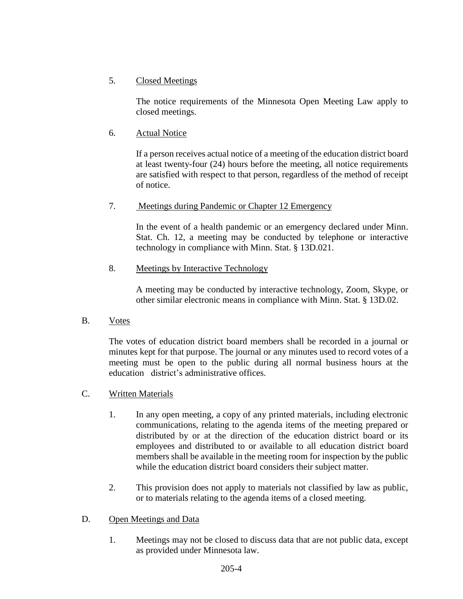# 5. Closed Meetings

The notice requirements of the Minnesota Open Meeting Law apply to closed meetings.

# 6. Actual Notice

If a person receives actual notice of a meeting of the education district board at least twenty-four (24) hours before the meeting, all notice requirements are satisfied with respect to that person, regardless of the method of receipt of notice.

## 7. Meetings during Pandemic or Chapter 12 Emergency

In the event of a health pandemic or an emergency declared under Minn. Stat. Ch. 12, a meeting may be conducted by telephone or interactive technology in compliance with Minn. Stat. § 13D.021.

# 8. Meetings by Interactive Technology

A meeting may be conducted by interactive technology, Zoom, Skype, or other similar electronic means in compliance with Minn. Stat. § 13D.02.

B. Votes

The votes of education district board members shall be recorded in a journal or minutes kept for that purpose. The journal or any minutes used to record votes of a meeting must be open to the public during all normal business hours at the education district's administrative offices.

# C. Written Materials

- 1. In any open meeting, a copy of any printed materials, including electronic communications, relating to the agenda items of the meeting prepared or distributed by or at the direction of the education district board or its employees and distributed to or available to all education district board members shall be available in the meeting room for inspection by the public while the education district board considers their subject matter.
- 2. This provision does not apply to materials not classified by law as public, or to materials relating to the agenda items of a closed meeting.

# D. Open Meetings and Data

1. Meetings may not be closed to discuss data that are not public data, except as provided under Minnesota law.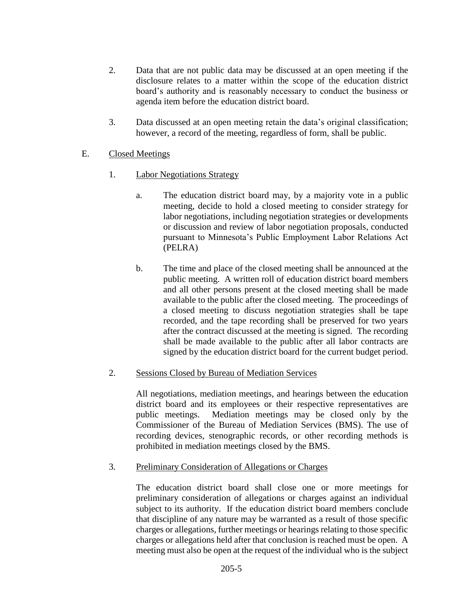- 2. Data that are not public data may be discussed at an open meeting if the disclosure relates to a matter within the scope of the education district board's authority and is reasonably necessary to conduct the business or agenda item before the education district board.
- 3. Data discussed at an open meeting retain the data's original classification; however, a record of the meeting, regardless of form, shall be public.

## E. Closed Meetings

- 1. Labor Negotiations Strategy
	- a. The education district board may, by a majority vote in a public meeting, decide to hold a closed meeting to consider strategy for labor negotiations, including negotiation strategies or developments or discussion and review of labor negotiation proposals, conducted pursuant to Minnesota's Public Employment Labor Relations Act (PELRA)
	- b. The time and place of the closed meeting shall be announced at the public meeting. A written roll of education district board members and all other persons present at the closed meeting shall be made available to the public after the closed meeting. The proceedings of a closed meeting to discuss negotiation strategies shall be tape recorded, and the tape recording shall be preserved for two years after the contract discussed at the meeting is signed. The recording shall be made available to the public after all labor contracts are signed by the education district board for the current budget period.
- 2. Sessions Closed by Bureau of Mediation Services

All negotiations, mediation meetings, and hearings between the education district board and its employees or their respective representatives are public meetings. Mediation meetings may be closed only by the Commissioner of the Bureau of Mediation Services (BMS). The use of recording devices, stenographic records, or other recording methods is prohibited in mediation meetings closed by the BMS.

3. Preliminary Consideration of Allegations or Charges

The education district board shall close one or more meetings for preliminary consideration of allegations or charges against an individual subject to its authority. If the education district board members conclude that discipline of any nature may be warranted as a result of those specific charges or allegations, further meetings or hearings relating to those specific charges or allegations held after that conclusion is reached must be open. A meeting must also be open at the request of the individual who is the subject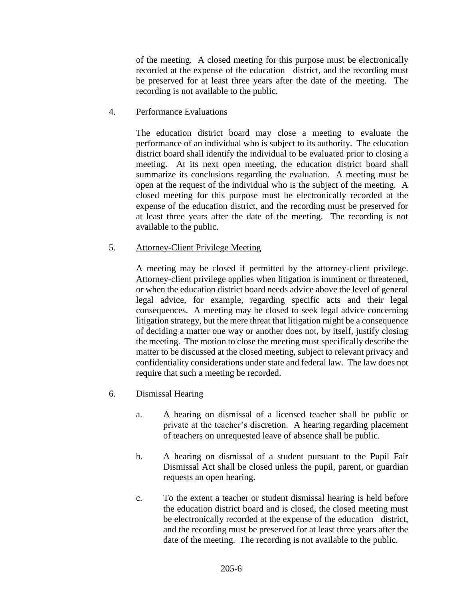of the meeting. A closed meeting for this purpose must be electronically recorded at the expense of the education district, and the recording must be preserved for at least three years after the date of the meeting. The recording is not available to the public.

### 4. Performance Evaluations

The education district board may close a meeting to evaluate the performance of an individual who is subject to its authority. The education district board shall identify the individual to be evaluated prior to closing a meeting. At its next open meeting, the education district board shall summarize its conclusions regarding the evaluation. A meeting must be open at the request of the individual who is the subject of the meeting. A closed meeting for this purpose must be electronically recorded at the expense of the education district, and the recording must be preserved for at least three years after the date of the meeting. The recording is not available to the public.

## 5. Attorney-Client Privilege Meeting

A meeting may be closed if permitted by the attorney-client privilege. Attorney-client privilege applies when litigation is imminent or threatened, or when the education district board needs advice above the level of general legal advice, for example, regarding specific acts and their legal consequences. A meeting may be closed to seek legal advice concerning litigation strategy, but the mere threat that litigation might be a consequence of deciding a matter one way or another does not, by itself, justify closing the meeting. The motion to close the meeting must specifically describe the matter to be discussed at the closed meeting, subject to relevant privacy and confidentiality considerations under state and federal law. The law does not require that such a meeting be recorded.

- 6. Dismissal Hearing
	- a. A hearing on dismissal of a licensed teacher shall be public or private at the teacher's discretion. A hearing regarding placement of teachers on unrequested leave of absence shall be public.
	- b. A hearing on dismissal of a student pursuant to the Pupil Fair Dismissal Act shall be closed unless the pupil, parent, or guardian requests an open hearing.
	- c. To the extent a teacher or student dismissal hearing is held before the education district board and is closed, the closed meeting must be electronically recorded at the expense of the education district, and the recording must be preserved for at least three years after the date of the meeting. The recording is not available to the public.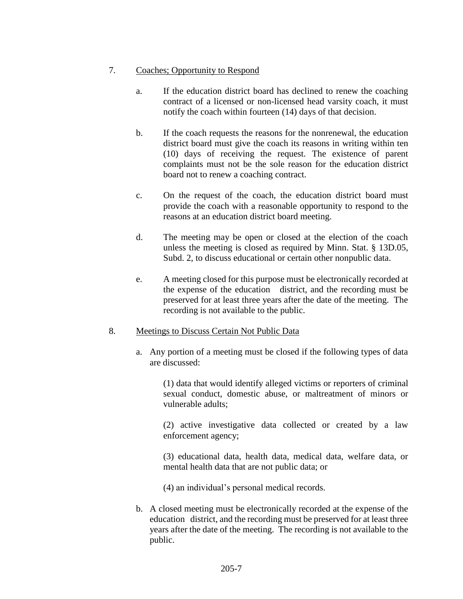### 7. Coaches; Opportunity to Respond

- a. If the education district board has declined to renew the coaching contract of a licensed or non-licensed head varsity coach, it must notify the coach within fourteen (14) days of that decision.
- b. If the coach requests the reasons for the nonrenewal, the education district board must give the coach its reasons in writing within ten (10) days of receiving the request. The existence of parent complaints must not be the sole reason for the education district board not to renew a coaching contract.
- c. On the request of the coach, the education district board must provide the coach with a reasonable opportunity to respond to the reasons at an education district board meeting.
- d. The meeting may be open or closed at the election of the coach unless the meeting is closed as required by Minn. Stat. § 13D.05, Subd. 2, to discuss educational or certain other nonpublic data.
- e. A meeting closed for this purpose must be electronically recorded at the expense of the education district, and the recording must be preserved for at least three years after the date of the meeting. The recording is not available to the public.

#### 8. Meetings to Discuss Certain Not Public Data

a. Any portion of a meeting must be closed if the following types of data are discussed:

> (1) data that would identify alleged victims or reporters of criminal sexual conduct, domestic abuse, or maltreatment of minors or vulnerable adults;

> (2) active investigative data collected or created by a law enforcement agency;

> (3) educational data, health data, medical data, welfare data, or mental health data that are not public data; or

(4) an individual's personal medical records.

b. A closed meeting must be electronically recorded at the expense of the education district, and the recording must be preserved for at least three years after the date of the meeting. The recording is not available to the public.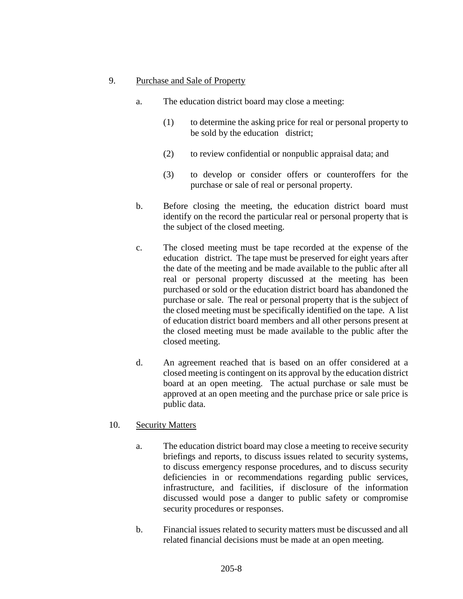### 9. Purchase and Sale of Property

- a. The education district board may close a meeting:
	- (1) to determine the asking price for real or personal property to be sold by the education district;
	- (2) to review confidential or nonpublic appraisal data; and
	- (3) to develop or consider offers or counteroffers for the purchase or sale of real or personal property.
- b. Before closing the meeting, the education district board must identify on the record the particular real or personal property that is the subject of the closed meeting.
- c. The closed meeting must be tape recorded at the expense of the education district. The tape must be preserved for eight years after the date of the meeting and be made available to the public after all real or personal property discussed at the meeting has been purchased or sold or the education district board has abandoned the purchase or sale. The real or personal property that is the subject of the closed meeting must be specifically identified on the tape. A list of education district board members and all other persons present at the closed meeting must be made available to the public after the closed meeting.
- d. An agreement reached that is based on an offer considered at a closed meeting is contingent on its approval by the education district board at an open meeting. The actual purchase or sale must be approved at an open meeting and the purchase price or sale price is public data.

## 10. Security Matters

- a. The education district board may close a meeting to receive security briefings and reports, to discuss issues related to security systems, to discuss emergency response procedures, and to discuss security deficiencies in or recommendations regarding public services, infrastructure, and facilities, if disclosure of the information discussed would pose a danger to public safety or compromise security procedures or responses.
- b. Financial issues related to security matters must be discussed and all related financial decisions must be made at an open meeting.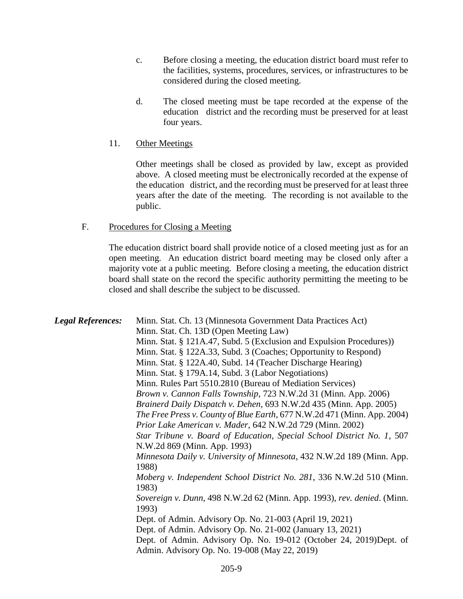- c. Before closing a meeting, the education district board must refer to the facilities, systems, procedures, services, or infrastructures to be considered during the closed meeting.
- d. The closed meeting must be tape recorded at the expense of the education district and the recording must be preserved for at least four years.
- 11. Other Meetings

Other meetings shall be closed as provided by law, except as provided above. A closed meeting must be electronically recorded at the expense of the education district, and the recording must be preserved for at least three years after the date of the meeting. The recording is not available to the public.

### F. Procedures for Closing a Meeting

The education district board shall provide notice of a closed meeting just as for an open meeting. An education district board meeting may be closed only after a majority vote at a public meeting. Before closing a meeting, the education district board shall state on the record the specific authority permitting the meeting to be closed and shall describe the subject to be discussed.

| <b>Legal References:</b> | Minn. Stat. Ch. 13 (Minnesota Government Data Practices Act)                                                                                                                                                                                  |
|--------------------------|-----------------------------------------------------------------------------------------------------------------------------------------------------------------------------------------------------------------------------------------------|
|                          | Minn. Stat. Ch. 13D (Open Meeting Law)                                                                                                                                                                                                        |
|                          | Minn. Stat. § 121A.47, Subd. 5 (Exclusion and Expulsion Procedures))                                                                                                                                                                          |
|                          | Minn. Stat. § 122A.33, Subd. 3 (Coaches; Opportunity to Respond)                                                                                                                                                                              |
|                          | Minn. Stat. § 122A.40, Subd. 14 (Teacher Discharge Hearing)                                                                                                                                                                                   |
|                          | Minn. Stat. § 179A.14, Subd. 3 (Labor Negotiations)                                                                                                                                                                                           |
|                          | Minn. Rules Part 5510.2810 (Bureau of Mediation Services)                                                                                                                                                                                     |
|                          | Brown v. Cannon Falls Township, 723 N.W.2d 31 (Minn. App. 2006)                                                                                                                                                                               |
|                          | Brainerd Daily Dispatch v. Dehen, 693 N.W.2d 435 (Minn. App. 2005)                                                                                                                                                                            |
|                          | The Free Press v. County of Blue Earth, 677 N.W.2d 471 (Minn. App. 2004)                                                                                                                                                                      |
|                          | Prior Lake American v. Mader, 642 N.W.2d 729 (Minn. 2002)                                                                                                                                                                                     |
|                          | Star Tribune v. Board of Education, Special School District No. 1, 507                                                                                                                                                                        |
|                          | N.W.2d 869 (Minn. App. 1993)                                                                                                                                                                                                                  |
|                          | Minnesota Daily v. University of Minnesota, 432 N.W.2d 189 (Minn. App.<br>1988)                                                                                                                                                               |
|                          | Moberg v. Independent School District No. 281, 336 N.W.2d 510 (Minn.<br>1983)                                                                                                                                                                 |
|                          | Sovereign v. Dunn, 498 N.W.2d 62 (Minn. App. 1993), rev. denied. (Minn.<br>1993)                                                                                                                                                              |
|                          | Dept. of Admin. Advisory Op. No. 21-003 (April 19, 2021)<br>Dept. of Admin. Advisory Op. No. 21-002 (January 13, 2021)<br>Dept. of Admin. Advisory Op. No. 19-012 (October 24, 2019)Dept. of<br>Admin. Advisory Op. No. 19-008 (May 22, 2019) |
|                          |                                                                                                                                                                                                                                               |